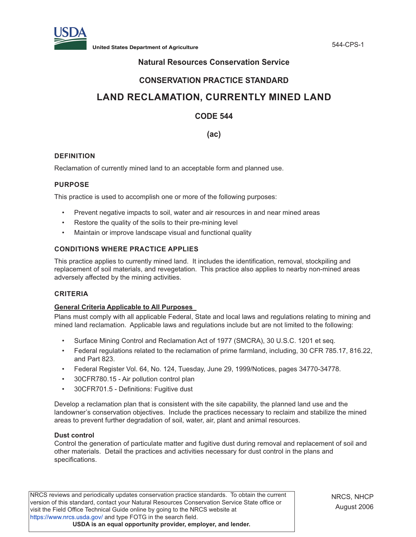

**United States Department of Agriculture** 544-CPS-1

# **Natural Resources Conservation Service**

# **CONSERVATION PRACTICE STANDARD**

# **LAND RECLAMATION, CURRENTLY MINED LAND**

# **CODE 544**

**(ac)**

# **DEFINITION**

Reclamation of currently mined land to an acceptable form and planned use.

# **PURPOSE**

This practice is used to accomplish one or more of the following purposes:

- Prevent negative impacts to soil, water and air resources in and near mined areas
- Restore the quality of the soils to their pre-mining level
- Maintain or improve landscape visual and functional quality

# **CONDITIONS WHERE PRACTICE APPLIES**

This practice applies to currently mined land. It includes the identification, removal, stockpiling and replacement of soil materials, and revegetation. This practice also applies to nearby non-mined areas adversely affected by the mining activities.

# **CRITERIA**

# **General Criteria Applicable to All Purposes**

Plans must comply with all applicable Federal, State and local laws and regulations relating to mining and mined land reclamation. Applicable laws and regulations include but are not limited to the following:

- Surface Mining Control and Reclamation Act of 1977 (SMCRA), 30 U.S.C. 1201 et seq.
- Federal regulations related to the reclamation of prime farmland, including, 30 CFR 785.17, 816.22, and Part 823.
- Federal Register Vol. 64, No. 124, Tuesday, June 29, 1999/Notices, pages 34770-34778.
- 30CFR780.15 Air pollution control plan
- 30CFR701.5 Definitions: Fugitive dust

Develop a reclamation plan that is consistent with the site capability, the planned land use and the landowner's conservation objectives. Include the practices necessary to reclaim and stabilize the mined areas to prevent further degradation of soil, water, air, plant and animal resources.

# **Dust control**

Control the generation of particulate matter and fugitive dust during removal and replacement of soil and other materials. Detail the practices and activities necessary for dust control in the plans and specifications.

NRCS reviews and periodically updates conservation practice standards. To obtain the current version of this standard, contact your Natural Resources Conservation Service State office or visit the Field Office Technical Guide online by going to the NRCS website at https://www.nrcs.usda.gov/ and type FOTG in the search field. **USDA is an equal opportunity provider, employer, and lender.**

NRCS, NHCP August 2006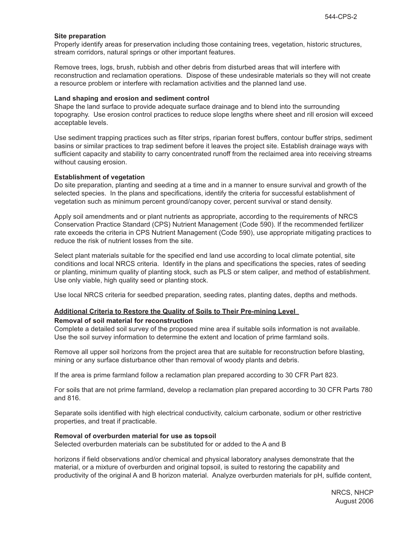#### **Site preparation**

Properly identify areas for preservation including those containing trees, vegetation, historic structures, stream corridors, natural springs or other important features.

Remove trees, logs, brush, rubbish and other debris from disturbed areas that will interfere with reconstruction and reclamation operations. Dispose of these undesirable materials so they will not create a resource problem or interfere with reclamation activities and the planned land use.

#### **Land shaping and erosion and sediment control**

Shape the land surface to provide adequate surface drainage and to blend into the surrounding topography. Use erosion control practices to reduce slope lengths where sheet and rill erosion will exceed acceptable levels.

Use sediment trapping practices such as filter strips, riparian forest buffers, contour buffer strips, sediment basins or similar practices to trap sediment before it leaves the project site. Establish drainage ways with sufficient capacity and stability to carry concentrated runoff from the reclaimed area into receiving streams without causing erosion.

#### **Establishment of vegetation**

Do site preparation, planting and seeding at a time and in a manner to ensure survival and growth of the selected species. In the plans and specifications, identify the criteria for successful establishment of vegetation such as minimum percent ground/canopy cover, percent survival or stand density.

Apply soil amendments and or plant nutrients as appropriate, according to the requirements of NRCS Conservation Practice Standard (CPS) Nutrient Management (Code 590). If the recommended fertilizer rate exceeds the criteria in CPS Nutrient Management (Code 590), use appropriate mitigating practices to reduce the risk of nutrient losses from the site.

Select plant materials suitable for the specified end land use according to local climate potential, site conditions and local NRCS criteria. Identify in the plans and specifications the species, rates of seeding or planting, minimum quality of planting stock, such as PLS or stem caliper, and method of establishment. Use only viable, high quality seed or planting stock.

Use local NRCS criteria for seedbed preparation, seeding rates, planting dates, depths and methods.

# **Additional Criteria to Restore the Quality of Soils to Their Pre-mining Level**

#### **Removal of soil material for reconstruction**

Complete a detailed soil survey of the proposed mine area if suitable soils information is not available. Use the soil survey information to determine the extent and location of prime farmland soils.

Remove all upper soil horizons from the project area that are suitable for reconstruction before blasting, mining or any surface disturbance other than removal of woody plants and debris.

If the area is prime farmland follow a reclamation plan prepared according to 30 CFR Part 823.

For soils that are not prime farmland, develop a reclamation plan prepared according to 30 CFR Parts 780 and 816.

Separate soils identified with high electrical conductivity, calcium carbonate, sodium or other restrictive properties, and treat if practicable.

#### **Removal of overburden material for use as topsoil**

Selected overburden materials can be substituted for or added to the A and B

horizons if field observations and/or chemical and physical laboratory analyses demonstrate that the material, or a mixture of overburden and original topsoil, is suited to restoring the capability and productivity of the original A and B horizon material. Analyze overburden materials for pH, sulfide content,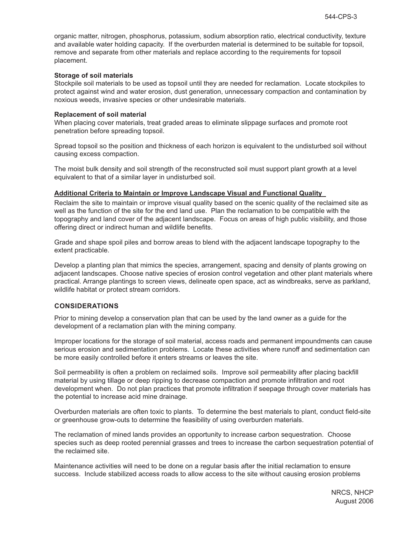organic matter, nitrogen, phosphorus, potassium, sodium absorption ratio, electrical conductivity, texture and available water holding capacity. If the overburden material is determined to be suitable for topsoil, remove and separate from other materials and replace according to the requirements for topsoil placement.

#### **Storage of soil materials**

Stockpile soil materials to be used as topsoil until they are needed for reclamation. Locate stockpiles to protect against wind and water erosion, dust generation, unnecessary compaction and contamination by noxious weeds, invasive species or other undesirable materials.

#### **Replacement of soil material**

When placing cover materials, treat graded areas to eliminate slippage surfaces and promote root penetration before spreading topsoil.

Spread topsoil so the position and thickness of each horizon is equivalent to the undisturbed soil without causing excess compaction.

The moist bulk density and soil strength of the reconstructed soil must support plant growth at a level equivalent to that of a similar layer in undisturbed soil.

#### **Additional Criteria to Maintain or Improve Landscape Visual and Functional Quality**

Reclaim the site to maintain or improve visual quality based on the scenic quality of the reclaimed site as well as the function of the site for the end land use. Plan the reclamation to be compatible with the topography and land cover of the adjacent landscape. Focus on areas of high public visibility, and those offering direct or indirect human and wildlife benefits.

Grade and shape spoil piles and borrow areas to blend with the adjacent landscape topography to the extent practicable.

Develop a planting plan that mimics the species, arrangement, spacing and density of plants growing on adjacent landscapes. Choose native species of erosion control vegetation and other plant materials where practical. Arrange plantings to screen views, delineate open space, act as windbreaks, serve as parkland, wildlife habitat or protect stream corridors.

# **CONSIDERATIONS**

Prior to mining develop a conservation plan that can be used by the land owner as a guide for the development of a reclamation plan with the mining company.

Improper locations for the storage of soil material, access roads and permanent impoundments can cause serious erosion and sedimentation problems. Locate these activities where runoff and sedimentation can be more easily controlled before it enters streams or leaves the site.

Soil permeability is often a problem on reclaimed soils. Improve soil permeability after placing backfill material by using tillage or deep ripping to decrease compaction and promote infiltration and root development when. Do not plan practices that promote infiltration if seepage through cover materials has the potential to increase acid mine drainage.

Overburden materials are often toxic to plants. To determine the best materials to plant, conduct field-site or greenhouse grow-outs to determine the feasibility of using overburden materials.

The reclamation of mined lands provides an opportunity to increase carbon sequestration. Choose species such as deep rooted perennial grasses and trees to increase the carbon sequestration potential of the reclaimed site.

Maintenance activities will need to be done on a regular basis after the initial reclamation to ensure success. Include stabilized access roads to allow access to the site without causing erosion problems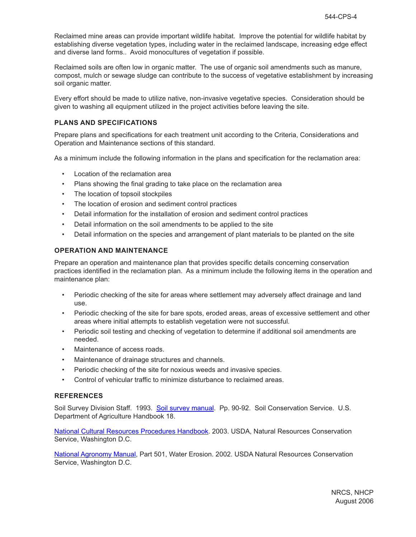Reclaimed mine areas can provide important wildlife habitat. Improve the potential for wildlife habitat by establishing diverse vegetation types, including water in the reclaimed landscape, increasing edge effect and diverse land forms.. Avoid monocultures of vegetation if possible.

Reclaimed soils are often low in organic matter. The use of organic soil amendments such as manure, compost, mulch or sewage sludge can contribute to the success of vegetative establishment by increasing soil organic matter.

Every effort should be made to utilize native, non-invasive vegetative species. Consideration should be given to washing all equipment utilized in the project activities before leaving the site.

#### **PLANS AND SPECIFICATIONS**

Prepare plans and specifications for each treatment unit according to the Criteria, Considerations and Operation and Maintenance sections of this standard.

As a minimum include the following information in the plans and specification for the reclamation area:

- Location of the reclamation area
- Plans showing the final grading to take place on the reclamation area
- The location of topsoil stockpiles
- The location of erosion and sediment control practices
- Detail information for the installation of erosion and sediment control practices
- Detail information on the soil amendments to be applied to the site
- Detail information on the species and arrangement of plant materials to be planted on the site

#### **OPERATION AND MAINTENANCE**

Prepare an operation and maintenance plan that provides specific details concerning conservation practices identified in the reclamation plan. As a minimum include the following items in the operation and maintenance plan:

- Periodic checking of the site for areas where settlement may adversely affect drainage and land use.
- Periodic checking of the site for bare spots, eroded areas, areas of excessive settlement and other areas where initial attempts to establish vegetation were not successful.
- Periodic soil testing and checking of vegetation to determine if additional soil amendments are needed.
- Maintenance of access roads.
- Maintenance of drainage structures and channels.
- Periodic checking of the site for noxious weeds and invasive species.
- Control of vehicular traffic to minimize disturbance to reclaimed areas.

#### **REFERENCES**

Soil Survey Division Staff. 1993. Soil survey manual. Pp. 90-92. Soil Conservation Service. U.S. Department of Agriculture Handbook 18.

**National Cultural Resources Procedures Handbook.** 2003. USDA, Natural Resources Conservation Service, Washington D.C.

National Agronomy Manual, Part 501, Water Erosion. 2002. USDA Natural Resources Conservation Service, Washington D.C.